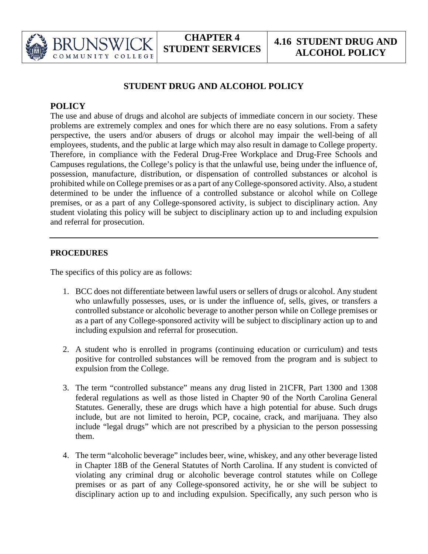

## **STUDENT DRUG AND ALCOHOL POLICY**

## **POLICY**

COMMUNITY

COLLEGE

The use and abuse of drugs and alcohol are subjects of immediate concern in our society. These problems are extremely complex and ones for which there are no easy solutions. From a safety perspective, the users and/or abusers of drugs or alcohol may impair the well-being of all employees, students, and the public at large which may also result in damage to College property. Therefore, in compliance with the Federal Drug-Free Workplace and Drug-Free Schools and Campuses regulations, the College's policy is that the unlawful use, being under the influence of, possession, manufacture, distribution, or dispensation of controlled substances or alcohol is prohibited while on College premises or as a part of any College-sponsored activity. Also, a student determined to be under the influence of a controlled substance or alcohol while on College premises, or as a part of any College-sponsored activity, is subject to disciplinary action. Any student violating this policy will be subject to disciplinary action up to and including expulsion and referral for prosecution.

## **PROCEDURES**

The specifics of this policy are as follows:

- 1. BCC does not differentiate between lawful users or sellers of drugs or alcohol. Any student who unlawfully possesses, uses, or is under the influence of, sells, gives, or transfers a controlled substance or alcoholic beverage to another person while on College premises or as a part of any College-sponsored activity will be subject to disciplinary action up to and including expulsion and referral for prosecution.
- 2. A student who is enrolled in programs (continuing education or curriculum) and tests positive for controlled substances will be removed from the program and is subject to expulsion from the College.
- 3. The term "controlled substance" means any drug listed in 21CFR, Part 1300 and 1308 federal regulations as well as those listed in Chapter 90 of the North Carolina General Statutes. Generally, these are drugs which have a high potential for abuse. Such drugs include, but are not limited to heroin, PCP, cocaine, crack, and marijuana. They also include "legal drugs" which are not prescribed by a physician to the person possessing them.
- 4. The term "alcoholic beverage" includes beer, wine, whiskey, and any other beverage listed in Chapter 18B of the General Statutes of North Carolina. If any student is convicted of violating any criminal drug or alcoholic beverage control statutes while on College premises or as part of any College-sponsored activity, he or she will be subject to disciplinary action up to and including expulsion. Specifically, any such person who is